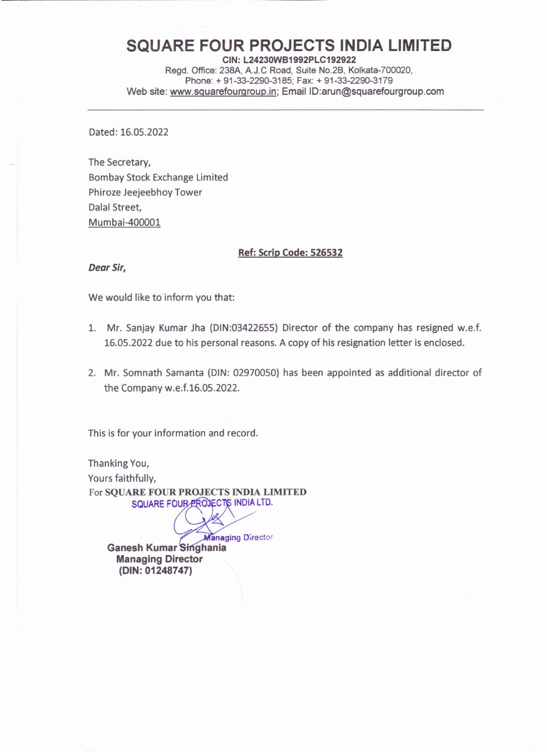## **SQUARE FOUR PROJECTS INDIA LIMITED**

CIN: L24230WB1992PLC192922 Regd. Office: 238A, A.J.C Road, Suite No.2B, Kolkata-700020, Phone: + 91-33-2290-3185; Fax: + 91-33-2290-3179 Web site: www.sguarefourgroup.in; Email ID:arun@squarefourgroup.com

Dated: 16.05.2022

The Secretary, Bombay Stock Exchange Limited Phiroze Jeejeebhoy Tower Dalal Street, Mumbai-400001

## Ref: Scrip Code: 526532

*Dear Sir,*

We would like to inform you that:

- 1. Mr. Sanjay Kumar Jha (DIN:03422655) Director of the company has resigned w.e.f. 16.05.2022 due to his personal reasons. A copy of his resignation letter is enclosed.
- 2. Mr. Somnath Samanta (DIN: 02970050) has been appointed as additional director of the Company w.e.f.16.05.2022.

This is for your information and record.

Thanking You, Yours faithfully, For SQUARE FOUR PROJECTS INDIA LIMITED SQUARE FOUR PROJECTS INDIA LTD.

**Managing Director** Ganesh Kumar Singhania Managing Director (DIN: 01248747)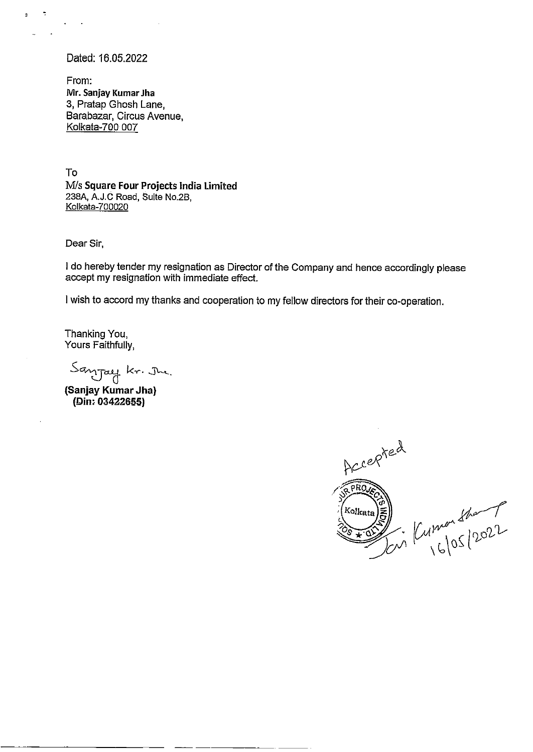Dated: 16.05.2022

÷,

From: Mr. Sanjay Kumar Jha 3, Pratap Ghosh Lane, Barabazar, Circus Avenue, Kolkata-700 007

To M/s Square Four Projects India Limited 238A, A.J.C Road, Suite No.2B, Kolkata-700020 To<br>
M/s Square Four Projects India Limited<br>
238A, A.J.C Road, Sute No.2B.<br>
Idelkate-700020<br>
Dear Sir,<br>
I do hereby tender my resignation as Director of the Cor<br>
accept my resignation with immediate effect.<br>
I wish to acco

Dear Sir,

| do hereby tender my resignation as Director of the Company and hence accordingly please accept my resignation with immediate effect.

I wish to accord my thanks and cooperation to my fellow directors for their co-operation.

Thanking You, Yours Faithfully,

Sanjay kr. Ju.<br>(Sanjay Kumar Jha)

(Din: 03422655)

Accepted RPROVE En Kumon Sharp Kolkata ه∙∓